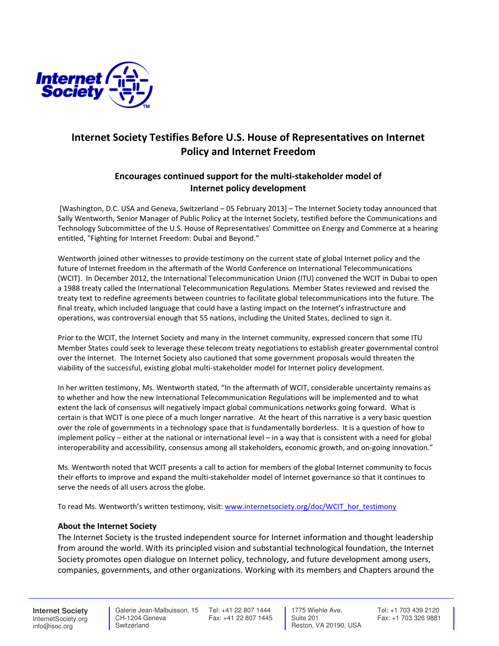

## Internet Society Testifies Before U.S. House of Representatives on Internet Policy and Internet Freedom

## Encourages continued support for the multi-stakeholder model of Internet policy development

 [Washington, D.C. USA and Geneva, Switzerland – 05 February 2013] – The Internet Society today announced that Sally Wentworth, Senior Manager of Public Policy at the Internet Society, testified before the Communications and Technology Subcommittee of the U.S. House of Representatives' Committee on Energy and Commerce at a hearing entitled, "Fighting for Internet Freedom: Dubai and Beyond."

Wentworth joined other witnesses to provide testimony on the current state of global Internet policy and the future of Internet freedom in the aftermath of the World Conference on International Telecommunications (WCIT). In December 2012, the International Telecommunication Union (ITU) convened the WCIT in Dubai to open a 1988 treaty called the International Telecommunication Regulations. Member States reviewed and revised the treaty text to redefine agreements between countries to facilitate global telecommunications into the future. The final treaty, which included language that could have a lasting impact on the Internet's infrastructure and operations, was controversial enough that 55 nations, including the United States, declined to sign it.

Prior to the WCIT, the Internet Society and many in the Internet community, expressed concern that some ITU Member States could seek to leverage these telecom treaty negotiations to establish greater governmental control over the Internet. The Internet Society also cautioned that some government proposals would threaten the viability of the successful, existing global multi-stakeholder model for Internet policy development.

In her written testimony, Ms. Wentworth stated, "In the aftermath of WCIT, considerable uncertainty remains as to whether and how the new International Telecommunication Regulations will be implemented and to what extent the lack of consensus will negatively impact global communications networks going forward. What is certain is that WCIT is one piece of a much longer narrative. At the heart of this narrative is a very basic question over the role of governments in a technology space that is fundamentally borderless. It is a question of how to implement policy – either at the national or international level – in a way that is consistent with a need for global interoperability and accessibility, consensus among all stakeholders, economic growth, and on-going innovation."

Ms. Wentworth noted that WCIT presents a call to action for members of the global Internet community to focus their efforts to improve and expand the multi-stakeholder model of Internet governance so that it continues to serve the needs of all users across the globe.

To read Ms. Wentworth's written testimony, visit: www.internetsociety.org/doc/WCIT\_hor\_testimony

## About the Internet Society

The Internet Society is the trusted independent source for Internet information and thought leadership from around the world. With its principled vision and substantial technological foundation, the Internet Society promotes open dialogue on Internet policy, technology, and future development among users, companies, governments, and other organizations. Working with its members and Chapters around the

**Internet Society** InternetSociety.org info@isoc.org

 CH-1204 Geneva **Switzerland** 

 Galerie Jean-Malbuisson, 15 Tel: +41 22 807 1444 Fax: +41 22 807 1445

 1775 Wiehle Ave. Suite 201 Reston, VA 20190, USA